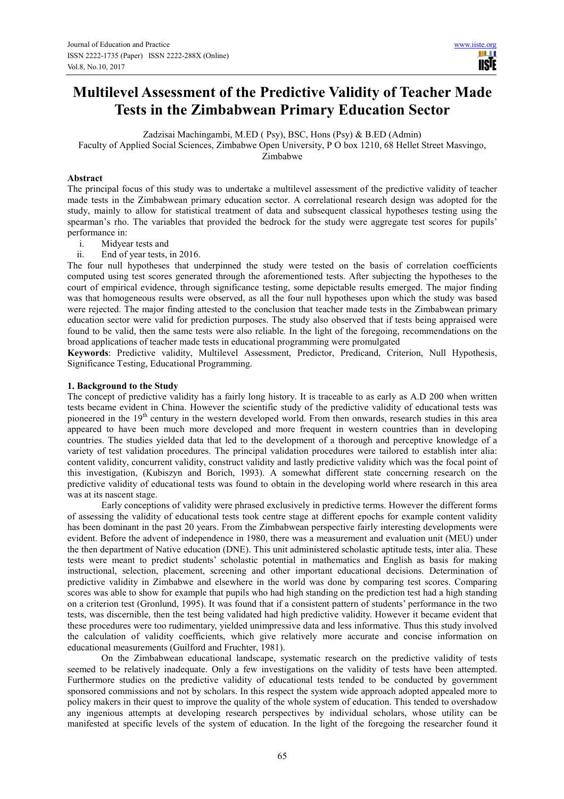# **Multilevel Assessment of the Predictive Validity of Teacher Made Tests in the Zimbabwean Primary Education Sector**

Zadzisai Machingambi, M.ED ( Psy), BSC, Hons (Psy) & B.ED (Admin)

Faculty of Applied Social Sciences, Zimbabwe Open University, P O box 1210, 68 Hellet Street Masvingo,

Zimbabwe

# **Abstract**

The principal focus of this study was to undertake a multilevel assessment of the predictive validity of teacher made tests in the Zimbabwean primary education sector. A correlational research design was adopted for the study, mainly to allow for statistical treatment of data and subsequent classical hypotheses testing using the spearman's rho. The variables that provided the bedrock for the study were aggregate test scores for pupils' performance in:

- 
- i. Midyear tests and<br>ii. End of year tests, i End of year tests, in 2016.

The four null hypotheses that underpinned the study were tested on the basis of correlation coefficients computed using test scores generated through the aforementioned tests. After subjecting the hypotheses to the court of empirical evidence, through significance testing, some depictable results emerged. The major finding was that homogeneous results were observed, as all the four null hypotheses upon which the study was based were rejected. The major finding attested to the conclusion that teacher made tests in the Zimbabwean primary education sector were valid for prediction purposes. The study also observed that if tests being appraised were found to be valid, then the same tests were also reliable. In the light of the foregoing, recommendations on the broad applications of teacher made tests in educational programming were promulgated

**Keywords**: Predictive validity, Multilevel Assessment, Predictor, Predicand, Criterion, Null Hypothesis, Significance Testing, Educational Programming.

# **1. Background to the Study**

The concept of predictive validity has a fairly long history. It is traceable to as early as A.D 200 when written tests became evident in China. However the scientific study of the predictive validity of educational tests was pioneered in the 19<sup>th</sup> century in the western developed world. From then onwards, research studies in this area appeared to have been much more developed and more frequent in western countries than in developing countries. The studies yielded data that led to the development of a thorough and perceptive knowledge of a variety of test validation procedures. The principal validation procedures were tailored to establish inter alia: content validity, concurrent validity, construct validity and lastly predictive validity which was the focal point of this investigation, (Kubiszyn and Borich, 1993). A somewhat different state concerning research on the predictive validity of educational tests was found to obtain in the developing world where research in this area was at its nascent stage.

Early conceptions of validity were phrased exclusively in predictive terms. However the different forms of assessing the validity of educational tests took centre stage at different epochs for example content validity has been dominant in the past 20 years. From the Zimbabwean perspective fairly interesting developments were evident. Before the advent of independence in 1980, there was a measurement and evaluation unit (MEU) under the then department of Native education (DNE). This unit administered scholastic aptitude tests, inter alia. These tests were meant to predict students' scholastic potential in mathematics and English as basis for making instructional, selection, placement, screening and other important educational decisions. Determination of predictive validity in Zimbabwe and elsewhere in the world was done by comparing test scores. Comparing scores was able to show for example that pupils who had high standing on the prediction test had a high standing on a criterion test (Gronlund, 1995). It was found that if a consistent pattern of students' performance in the two tests, was discernible, then the test being validated had high predictive validity. However it became evident that these procedures were too rudimentary, yielded unimpressive data and less informative. Thus this study involved the calculation of validity coefficients, which give relatively more accurate and concise information on educational measurements (Guilford and Fruchter, 1981).

On the Zimbabwean educational landscape, systematic research on the predictive validity of tests seemed to be relatively inadequate. Only a few investigations on the validity of tests have been attempted. Furthermore studies on the predictive validity of educational tests tended to be conducted by government sponsored commissions and not by scholars. In this respect the system wide approach adopted appealed more to policy makers in their quest to improve the quality of the whole system of education. This tended to overshadow any ingenious attempts at developing research perspectives by individual scholars, whose utility can be manifested at specific levels of the system of education. In the light of the foregoing the researcher found it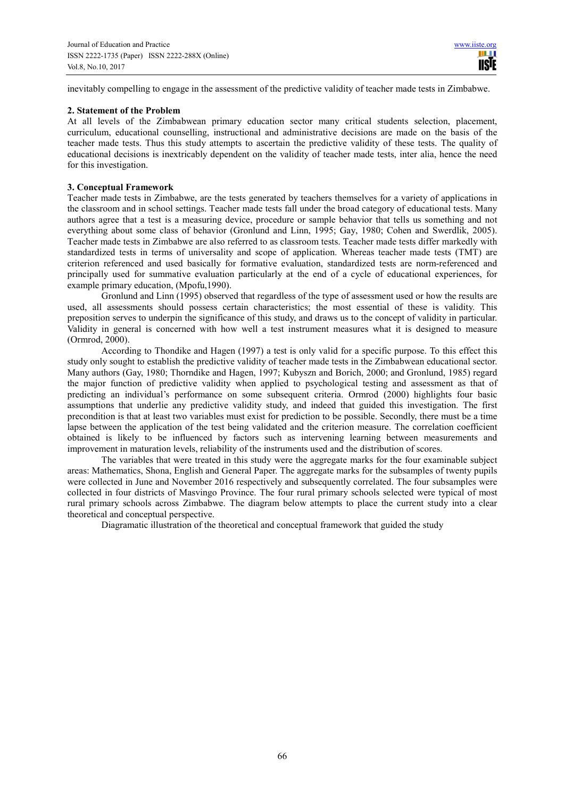inevitably compelling to engage in the assessment of the predictive validity of teacher made tests in Zimbabwe.

#### **2. Statement of the Problem**

At all levels of the Zimbabwean primary education sector many critical students selection, placement, curriculum, educational counselling, instructional and administrative decisions are made on the basis of the teacher made tests. Thus this study attempts to ascertain the predictive validity of these tests. The quality of educational decisions is inextricably dependent on the validity of teacher made tests, inter alia, hence the need for this investigation.

#### **3. Conceptual Framework**

Teacher made tests in Zimbabwe, are the tests generated by teachers themselves for a variety of applications in the classroom and in school settings. Teacher made tests fall under the broad category of educational tests. Many authors agree that a test is a measuring device, procedure or sample behavior that tells us something and not everything about some class of behavior (Gronlund and Linn, 1995; Gay, 1980; Cohen and Swerdlik, 2005). Teacher made tests in Zimbabwe are also referred to as classroom tests. Teacher made tests differ markedly with standardized tests in terms of universality and scope of application. Whereas teacher made tests (TMT) are criterion referenced and used basically for formative evaluation, standardized tests are norm-referenced and principally used for summative evaluation particularly at the end of a cycle of educational experiences, for example primary education, (Mpofu,1990).

Gronlund and Linn (1995) observed that regardless of the type of assessment used or how the results are used, all assessments should possess certain characteristics; the most essential of these is validity. This preposition serves to underpin the significance of this study, and draws us to the concept of validity in particular. Validity in general is concerned with how well a test instrument measures what it is designed to measure (Ormrod, 2000).

According to Thondike and Hagen (1997) a test is only valid for a specific purpose. To this effect this study only sought to establish the predictive validity of teacher made tests in the Zimbabwean educational sector. Many authors (Gay, 1980; Thorndike and Hagen, 1997; Kubyszn and Borich, 2000; and Gronlund, 1985) regard the major function of predictive validity when applied to psychological testing and assessment as that of predicting an individual's performance on some subsequent criteria. Ormrod (2000) highlights four basic assumptions that underlie any predictive validity study, and indeed that guided this investigation. The first precondition is that at least two variables must exist for prediction to be possible. Secondly, there must be a time lapse between the application of the test being validated and the criterion measure. The correlation coefficient obtained is likely to be influenced by factors such as intervening learning between measurements and improvement in maturation levels, reliability of the instruments used and the distribution of scores.

The variables that were treated in this study were the aggregate marks for the four examinable subject areas: Mathematics, Shona, English and General Paper. The aggregate marks for the subsamples of twenty pupils were collected in June and November 2016 respectively and subsequently correlated. The four subsamples were collected in four districts of Masvingo Province. The four rural primary schools selected were typical of most rural primary schools across Zimbabwe. The diagram below attempts to place the current study into a clear theoretical and conceptual perspective.

Diagramatic illustration of the theoretical and conceptual framework that guided the study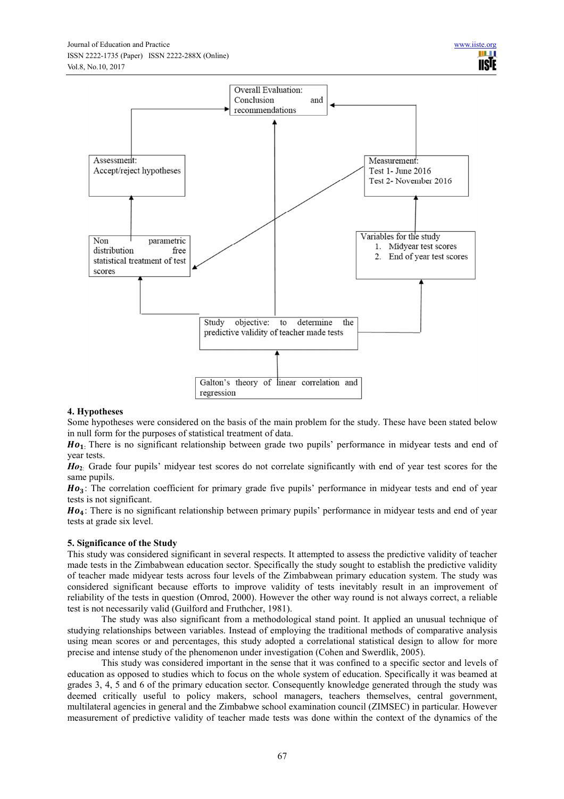

#### **4. Hypotheses**

Some hypotheses were considered on the basis of the main problem for the study. These have been stated below in null form for the purposes of statistical treatment of data.

 $Ho<sub>1</sub>$ . There is no significant relationship between grade two pupils' performance in midyear tests and end of year tests.

*Ho***2**: Grade four pupils' midyear test scores do not correlate significantly with end of year test scores for the same pupils.

Ho<sub>3</sub>: The correlation coefficient for primary grade five pupils' performance in midyear tests and end of year tests is not significant.

Ho<sub>4</sub>: There is no significant relationship between primary pupils' performance in midyear tests and end of year tests at grade six level.

#### **5. Significance of the Study**

This study was considered significant in several respects. It attempted to assess the predictive validity of teacher made tests in the Zimbabwean education sector. Specifically the study sought to establish the predictive validity of teacher made midyear tests across four levels of the Zimbabwean primary education system. The study was considered significant because efforts to improve validity of tests inevitably result in an improvement of reliability of the tests in question (Omrod, 2000). However the other way round is not always correct, a reliable test is not necessarily valid (Guilford and Fruthcher, 1981).

The study was also significant from a methodological stand point. It applied an unusual technique of studying relationships between variables. Instead of employing the traditional methods of comparative analysis using mean scores or and percentages, this study adopted a correlational statistical design to allow for more precise and intense study of the phenomenon under investigation (Cohen and Swerdlik, 2005).

This study was considered important in the sense that it was confined to a specific sector and levels of education as opposed to studies which to focus on the whole system of education. Specifically it was beamed at grades 3, 4, 5 and 6 of the primary education sector. Consequently knowledge generated through the study was deemed critically useful to policy makers, school managers, teachers themselves, central government, multilateral agencies in general and the Zimbabwe school examination council (ZIMSEC) in particular. However measurement of predictive validity of teacher made tests was done within the context of the dynamics of the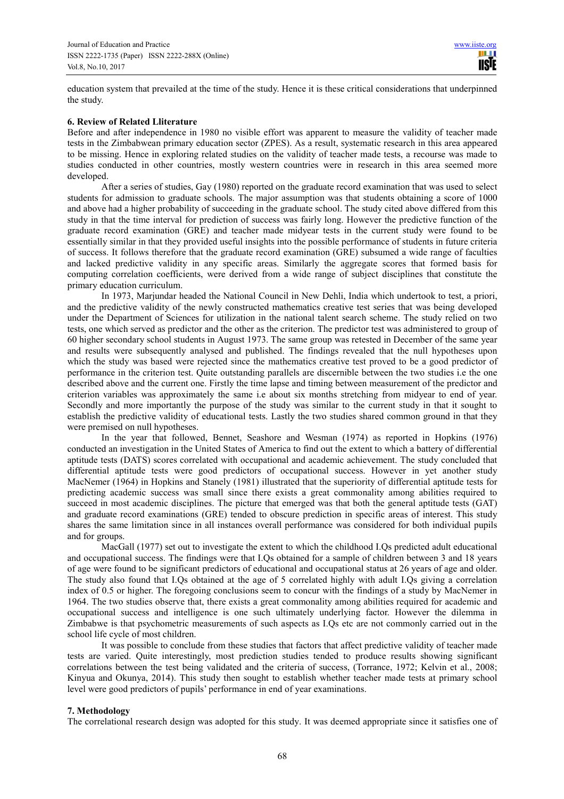education system that prevailed at the time of the study. Hence it is these critical considerations that underpinned the study.

#### **6. Review of Related Lliterature**

Before and after independence in 1980 no visible effort was apparent to measure the validity of teacher made tests in the Zimbabwean primary education sector (ZPES). As a result, systematic research in this area appeared to be missing. Hence in exploring related studies on the validity of teacher made tests, a recourse was made to studies conducted in other countries, mostly western countries were in research in this area seemed more developed.

After a series of studies, Gay (1980) reported on the graduate record examination that was used to select students for admission to graduate schools. The major assumption was that students obtaining a score of 1000 and above had a higher probability of succeeding in the graduate school. The study cited above differed from this study in that the time interval for prediction of success was fairly long. However the predictive function of the graduate record examination (GRE) and teacher made midyear tests in the current study were found to be essentially similar in that they provided useful insights into the possible performance of students in future criteria of success. It follows therefore that the graduate record examination (GRE) subsumed a wide range of faculties and lacked predictive validity in any specific areas. Similarly the aggregate scores that formed basis for computing correlation coefficients, were derived from a wide range of subject disciplines that constitute the primary education curriculum.

In 1973, Marjundar headed the National Council in New Dehli, India which undertook to test, a priori, and the predictive validity of the newly constructed mathematics creative test series that was being developed under the Department of Sciences for utilization in the national talent search scheme. The study relied on two tests, one which served as predictor and the other as the criterion. The predictor test was administered to group of 60 higher secondary school students in August 1973. The same group was retested in December of the same year and results were subsequently analysed and published. The findings revealed that the null hypotheses upon which the study was based were rejected since the mathematics creative test proved to be a good predictor of performance in the criterion test. Quite outstanding parallels are discernible between the two studies i.e the one described above and the current one. Firstly the time lapse and timing between measurement of the predictor and criterion variables was approximately the same i.e about six months stretching from midyear to end of year. Secondly and more importantly the purpose of the study was similar to the current study in that it sought to establish the predictive validity of educational tests. Lastly the two studies shared common ground in that they were premised on null hypotheses.

In the year that followed, Bennet, Seashore and Wesman (1974) as reported in Hopkins (1976) conducted an investigation in the United States of America to find out the extent to which a battery of differential aptitude tests (DATS) scores correlated with occupational and academic achievement. The study concluded that differential aptitude tests were good predictors of occupational success. However in yet another study MacNemer (1964) in Hopkins and Stanely (1981) illustrated that the superiority of differential aptitude tests for predicting academic success was small since there exists a great commonality among abilities required to succeed in most academic disciplines. The picture that emerged was that both the general aptitude tests (GAT) and graduate record examinations (GRE) tended to obscure prediction in specific areas of interest. This study shares the same limitation since in all instances overall performance was considered for both individual pupils and for groups.

MacGall (1977) set out to investigate the extent to which the childhood I.Qs predicted adult educational and occupational success. The findings were that I.Qs obtained for a sample of children between 3 and 18 years of age were found to be significant predictors of educational and occupational status at 26 years of age and older. The study also found that I.Qs obtained at the age of 5 correlated highly with adult I.Qs giving a correlation index of 0.5 or higher. The foregoing conclusions seem to concur with the findings of a study by MacNemer in 1964. The two studies observe that, there exists a great commonality among abilities required for academic and occupational success and intelligence is one such ultimately underlying factor. However the dilemma in Zimbabwe is that psychometric measurements of such aspects as I.Qs etc are not commonly carried out in the school life cycle of most children.

It was possible to conclude from these studies that factors that affect predictive validity of teacher made tests are varied. Quite interestingly, most prediction studies tended to produce results showing significant correlations between the test being validated and the criteria of success, (Torrance, 1972; Kelvin et al., 2008; Kinyua and Okunya, 2014). This study then sought to establish whether teacher made tests at primary school level were good predictors of pupils' performance in end of year examinations.

# **7. Methodology**

The correlational research design was adopted for this study. It was deemed appropriate since it satisfies one of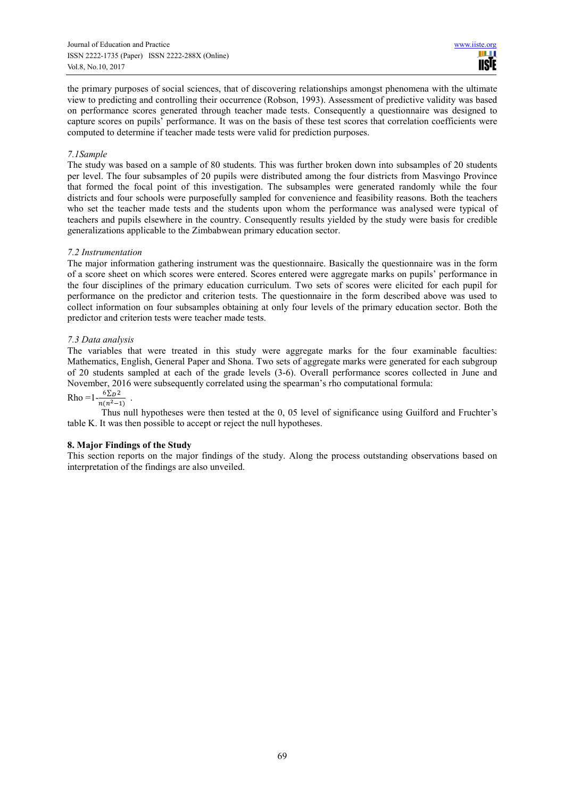the primary purposes of social sciences, that of discovering relationships amongst phenomena with the ultimate view to predicting and controlling their occurrence (Robson, 1993). Assessment of predictive validity was based on performance scores generated through teacher made tests. Consequently a questionnaire was designed to capture scores on pupils' performance. It was on the basis of these test scores that correlation coefficients were computed to determine if teacher made tests were valid for prediction purposes.

#### *7.1Sample*

The study was based on a sample of 80 students. This was further broken down into subsamples of 20 students per level. The four subsamples of 20 pupils were distributed among the four districts from Masvingo Province that formed the focal point of this investigation. The subsamples were generated randomly while the four districts and four schools were purposefully sampled for convenience and feasibility reasons. Both the teachers who set the teacher made tests and the students upon whom the performance was analysed were typical of teachers and pupils elsewhere in the country. Consequently results yielded by the study were basis for credible generalizations applicable to the Zimbabwean primary education sector.

# *7.2 Instrumentation*

The major information gathering instrument was the questionnaire. Basically the questionnaire was in the form of a score sheet on which scores were entered. Scores entered were aggregate marks on pupils' performance in the four disciplines of the primary education curriculum. Two sets of scores were elicited for each pupil for performance on the predictor and criterion tests. The questionnaire in the form described above was used to collect information on four subsamples obtaining at only four levels of the primary education sector. Both the predictor and criterion tests were teacher made tests.

# *7.3 Data analysis*

The variables that were treated in this study were aggregate marks for the four examinable faculties: Mathematics, English, General Paper and Shona. Two sets of aggregate marks were generated for each subgroup of 20 students sampled at each of the grade levels (3-6). Overall performance scores collected in June and November, 2016 were subsequently correlated using the spearman's rho computational formula:

#### $Rho = 1 - \frac{6 \sum D^2}{n(n^2 - 1)}$ .  $n(n^2-1)$

Thus null hypotheses were then tested at the 0, 05 level of significance using Guilford and Fruchter's table K. It was then possible to accept or reject the null hypotheses.

# **8. Major Findings of the Study**

This section reports on the major findings of the study. Along the process outstanding observations based on interpretation of the findings are also unveiled.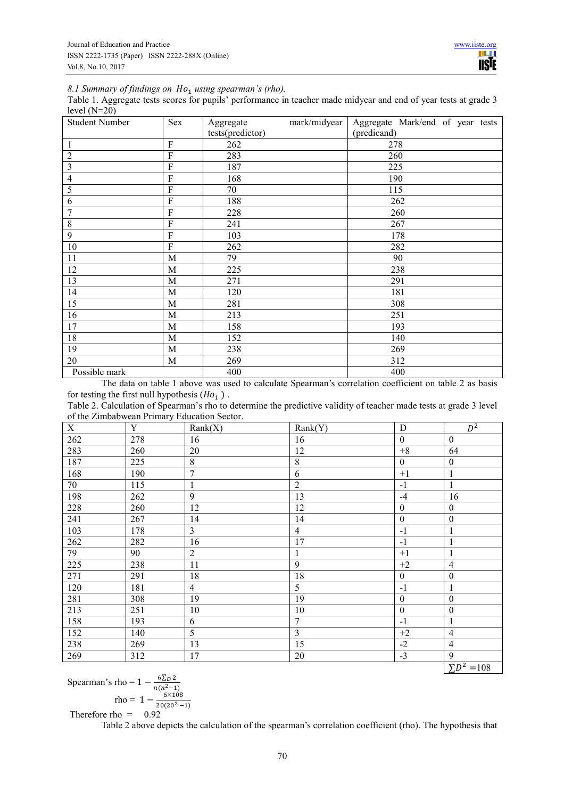# 8.1 Summary of findings on  $Ho_1$  using spearman's (rho).

Table 1. Aggregate tests scores for pupils' performance in teacher made midyear and end of year tests at grade 3 level  $(N=20)$ 

| <b>Student Number</b> | Sex            | Aggregate        | mark/midyear | Aggregate Mark/end of year tests |  |  |  |
|-----------------------|----------------|------------------|--------------|----------------------------------|--|--|--|
|                       |                | tests(predictor) |              | (predicand)                      |  |  |  |
| $\mathbf{1}$          | $\overline{F}$ | 262              |              | 278                              |  |  |  |
| $\sqrt{2}$            | $\overline{F}$ | 283              |              | 260                              |  |  |  |
| $\overline{3}$        | ${\bf F}$      | 187              |              | 225                              |  |  |  |
| $\overline{4}$        | $\overline{F}$ | 168              |              | 190                              |  |  |  |
| $\overline{5}$        | $\overline{F}$ | 70               |              | 115                              |  |  |  |
| 6                     | $\overline{F}$ | 188              |              | 262                              |  |  |  |
| $\overline{7}$        | $\overline{F}$ | 228              |              | 260                              |  |  |  |
| $8\,$                 | ${\bf F}$      | 241              |              | 267                              |  |  |  |
| $\overline{9}$        | ${\bf F}$      | 103              |              | 178                              |  |  |  |
| 10                    | $\overline{F}$ | 262              |              | 282                              |  |  |  |
| 11                    | M              | 79               |              | 90                               |  |  |  |
| 12                    | M              | 225              |              | 238                              |  |  |  |
| 13                    | M              | 271              |              | 291                              |  |  |  |
| 14                    | M              | 120              |              | 181                              |  |  |  |
| 15                    | M              | 281              |              | 308                              |  |  |  |
| 16                    | M              | 213              |              | 251                              |  |  |  |
| 17                    | M              | 158              |              | 193                              |  |  |  |
| 18                    | M              | 152              |              | 140                              |  |  |  |
| 19                    | M              | 238              |              | 269                              |  |  |  |
| 20                    | M              | 269              |              | 312                              |  |  |  |
| Possible mark         |                | 400              |              | 400                              |  |  |  |

The data on table 1 above was used to calculate Spearman's correlation coefficient on table 2 as basis for testing the first null hypothesis  $(Ho_1)$ .

Table 2. Calculation of Spearman's rho to determine the predictive validity of teacher made tests at grade 3 level of the Zimbabwean Primary Education Sector.

| $\mathbf X$ | Y   | Rank(X)          | Rank(Y)                 | ${\bf D}$        | $D^2$            |
|-------------|-----|------------------|-------------------------|------------------|------------------|
| 262         | 278 | 16               | 16                      | $\boldsymbol{0}$ | $\boldsymbol{0}$ |
| 283         | 260 | 20               | 12                      | $+8$             | 64               |
| 187         | 225 | $8\,$            | $8\,$                   | $\mathbf{0}$     | $\boldsymbol{0}$ |
| 168         | 190 | $\boldsymbol{7}$ | $\sqrt{6}$              | $+1$             | $\mathbf{1}$     |
| 70          | 115 | $\mathbf{1}$     | $\overline{2}$          | $-1$             | $\mathbf{1}$     |
| 198         | 262 | 9                | 13                      | $-4$             | 16               |
| 228         | 260 | 12               | 12                      | $\boldsymbol{0}$ | $\boldsymbol{0}$ |
| 241         | 267 | 14               | 14                      | $\boldsymbol{0}$ | $\boldsymbol{0}$ |
| 103         | 178 | $\overline{3}$   | $\overline{4}$          | $-1$             | $\mathbf{1}$     |
| 262         | 282 | 16               | 17                      | $-1$             | $\mathbf{1}$     |
| 79          | 90  | $\overline{2}$   | $\mathbf{1}$            | $+1$             | $\mathbf{1}$     |
| 225         | 238 | 11               | 9                       | $+2$             | $\overline{4}$   |
| 271         | 291 | 18               | 18                      | $\boldsymbol{0}$ | $\boldsymbol{0}$ |
| 120         | 181 | $\overline{4}$   | $\overline{5}$          | $-1$             | $\mathbf{1}$     |
| 281         | 308 | 19               | 19                      | $\boldsymbol{0}$ | $\boldsymbol{0}$ |
| 213         | 251 | 10               | 10                      | $\boldsymbol{0}$ | $\boldsymbol{0}$ |
| 158         | 193 | 6                | 7                       | $-1$             | $\mathbf{1}$     |
| 152         | 140 | 5                | $\overline{\mathbf{3}}$ | $+2$             | $\overline{4}$   |
| 238         | 269 | 13               | $\overline{15}$         | $-2$             | $\overline{4}$   |
| 269         | 312 | 17               | 20                      | $-3$             | 9                |
|             |     |                  |                         |                  | $\sum D^2 = 108$ |

Spearman's rho =  $1 - \frac{6 \sum D}{n(n^2-1)}$  $rho = 1 - \frac{6 \times 108}{20(20^2 - 1)}$ Therefore rho =  $0.92$ 

Table 2 above depicts the calculation of the spearman's correlation coefficient (rho). The hypothesis that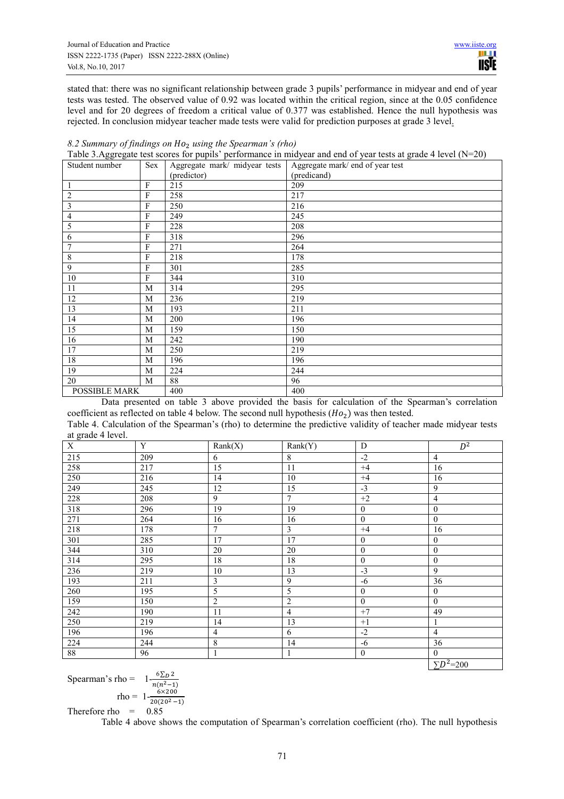stated that: there was no significant relationship between grade 3 pupils' performance in midyear and end of year tests was tested. The observed value of 0.92 was located within the critical region, since at the 0.05 confidence level and for 20 degrees of freedom a critical value of 0.377 was established. Hence the null hypothesis was rejected. In conclusion midyear teacher made tests were valid for prediction purposes at grade 3 level.

|                      | Table 3. Agglegate lest scores for pupils - performance in imayear and end or year lests at grade 4 fever (19–20) |                               |                                  |  |  |  |
|----------------------|-------------------------------------------------------------------------------------------------------------------|-------------------------------|----------------------------------|--|--|--|
| Student number       | Sex                                                                                                               | Aggregate mark/ midyear tests | Aggregate mark/ end of year test |  |  |  |
|                      |                                                                                                                   | (predictor)                   | (predicand)                      |  |  |  |
| 1                    | $\mathbf{F}$                                                                                                      | 215                           | 209                              |  |  |  |
| $\overline{2}$       | F                                                                                                                 | 258                           | 217                              |  |  |  |
| 3                    | F                                                                                                                 | 250                           | 216                              |  |  |  |
| $\overline{4}$       | $\mathbf{F}$                                                                                                      | 249                           | 245                              |  |  |  |
| 5                    | F                                                                                                                 | 228                           | 208                              |  |  |  |
| 6                    | $\overline{F}$                                                                                                    | 318                           | 296                              |  |  |  |
| 7                    | F                                                                                                                 | 271                           | 264                              |  |  |  |
| $8\phantom{1}$       | F                                                                                                                 | 218                           | 178                              |  |  |  |
| 9                    | $\mathbf{F}$                                                                                                      | 301                           | 285                              |  |  |  |
| 10                   | $\mathbf{F}$                                                                                                      | 344                           | 310                              |  |  |  |
| 11                   | M                                                                                                                 | 314                           | 295                              |  |  |  |
| 12                   | M                                                                                                                 | 236                           | 219                              |  |  |  |
| 13                   | M                                                                                                                 | 193                           | 211                              |  |  |  |
| 14                   | M                                                                                                                 | 200                           | 196                              |  |  |  |
| $\overline{15}$      | M                                                                                                                 | 159                           | 150                              |  |  |  |
| 16                   | M                                                                                                                 | 242                           | 190                              |  |  |  |
| 17                   | M                                                                                                                 | 250                           | 219                              |  |  |  |
| 18                   | M                                                                                                                 | 196                           | 196                              |  |  |  |
| 19                   | M                                                                                                                 | 224                           | 244                              |  |  |  |
| 20                   | M                                                                                                                 | 88                            | 96                               |  |  |  |
| <b>POSSIBLE MARK</b> |                                                                                                                   | 400                           | 400                              |  |  |  |

| 8.2 Summary of findings on $Ho2$ using the Spearman's (rho) |  |  |  |  |  |
|-------------------------------------------------------------|--|--|--|--|--|
|-------------------------------------------------------------|--|--|--|--|--|

Table 3.Aggregate test scores for pupils' performance in midyear and end of year tests at grade 4 level (N=20)

Data presented on table 3 above provided the basis for calculation of the Spearman's correlation coefficient as reflected on table 4 below. The second null hypothesis  $(Ho<sub>2</sub>)$  was then tested. Table 4. Calculation of the Spearman's (rho) to determine the predictive validity of teacher made midyear tests

|     | at grade 4 level. |                  |                |                  |                           |  |  |
|-----|-------------------|------------------|----------------|------------------|---------------------------|--|--|
| X   | Y                 | Rank(X)          | Rank(Y)        | D                | $D^2$                     |  |  |
| 215 | 209               | 6                | $\,$ 8 $\,$    | $-2$             | $\overline{4}$            |  |  |
| 258 | 217               | 15               | 11             | $+4$             | 16                        |  |  |
| 250 | 216               | 14               | 10             | $+4$             | 16                        |  |  |
| 249 | 245               | 12               | 15             | $-3$             | 9                         |  |  |
| 228 | 208               | 9                | $\overline{7}$ | $+2$             | $\overline{4}$            |  |  |
| 318 | 296               | 19               | 19             | $\mathbf{0}$     | $\mathbf{0}$              |  |  |
| 271 | 264               | 16               | 16             | $\mathbf{0}$     | $\mathbf{0}$              |  |  |
| 218 | 178               | $\tau$           | 3              | $+4$             | 16                        |  |  |
| 301 | 285               | 17               | 17             | $\mathbf{0}$     | $\mathbf{0}$              |  |  |
| 344 | 310               | 20               | 20             | $\mathbf{0}$     | $\mathbf{0}$              |  |  |
| 314 | 295               | 18               | 18             | $\boldsymbol{0}$ | $\boldsymbol{0}$          |  |  |
| 236 | 219               | 10               | 13             | $-3$             | 9                         |  |  |
| 193 | 211               | $\mathfrak{Z}$   | 9              | $-6$             | 36                        |  |  |
| 260 | 195               | 5                | 5              | $\mathbf{0}$     | $\mathbf{0}$              |  |  |
| 159 | 150               | $\boldsymbol{2}$ | $\overline{2}$ | $\mathbf{0}$     | $\mathbf{0}$              |  |  |
| 242 | 190               | 11               | $\overline{4}$ | $+7$             | 49                        |  |  |
| 250 | 219               | 14               | 13             | $+1$             | 1                         |  |  |
| 196 | 196               | $\overline{4}$   | 6              | $-2$             | $\overline{4}$            |  |  |
| 224 | 244               | 8                | 14             | $-6$             | 36                        |  |  |
| 88  | 96                | 1                | 1              | $\boldsymbol{0}$ | $\theta$                  |  |  |
|     |                   |                  |                |                  | $\sum \overline{D^2=200}$ |  |  |

Spearman's rho  $=$  $n(n^2-1)$  $rho = 1 - \frac{6 \times 200}{20(20^2 - 1)}$ Therefore rho =  $0.85$ 

Table 4 above shows the computation of Spearman's correlation coefficient (rho). The null hypothesis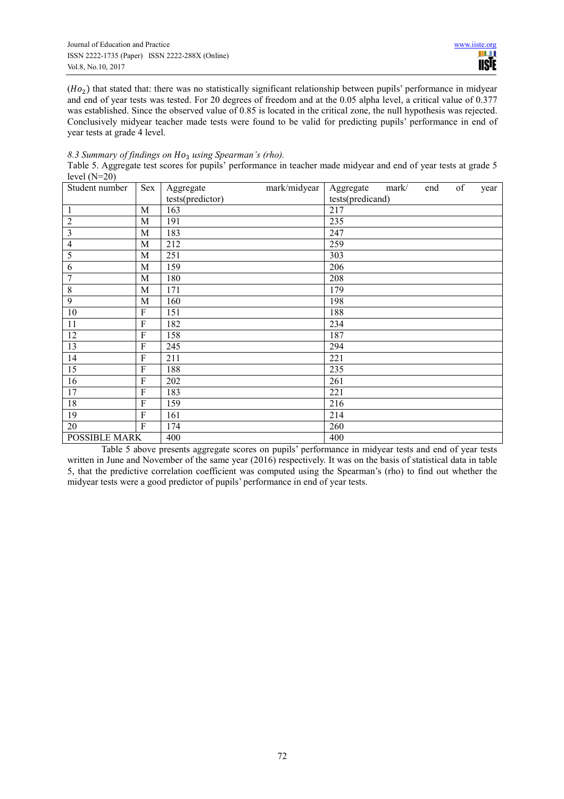$(Ho<sub>2</sub>)$  that stated that: there was no statistically significant relationship between pupils' performance in midyear and end of year tests was tested. For 20 degrees of freedom and at the 0.05 alpha level, a critical value of 0.377 was established. Since the observed value of 0.85 is located in the critical zone, the null hypothesis was rejected. Conclusively midyear teacher made tests were found to be valid for predicting pupils' performance in end of year tests at grade 4 level.

*8.3 Summary of findings on using Spearman's (rho).*  Table 5. Aggregate test scores for pupils' performance in teacher made midyear and end of year tests at grade 5 level  $(N=20)$ 

| $10.01(11 - 0)$<br>Student number | Sex         | mark/midyear<br>Aggregate | Aggregate        | mark/ | end | of | year |
|-----------------------------------|-------------|---------------------------|------------------|-------|-----|----|------|
|                                   |             | tests(predictor)          | tests(predicand) |       |     |    |      |
| $\mathbf{1}$                      | M           | 163                       | 217              |       |     |    |      |
| $\sqrt{2}$                        | M           | 191                       | 235              |       |     |    |      |
| $\overline{\mathbf{3}}$           | M           | 183                       | 247              |       |     |    |      |
| $\overline{4}$                    | M           | 212                       | 259              |       |     |    |      |
| 5                                 | M           | 251                       | 303              |       |     |    |      |
| 6                                 | M           | 159                       | 206              |       |     |    |      |
| $\overline{7}$                    | M           | 180                       | 208              |       |     |    |      |
| $\,$ 8 $\,$                       | M           | 171                       | 179              |       |     |    |      |
| $\boldsymbol{9}$                  | M           | 160                       | 198              |       |     |    |      |
| 10                                | ${\bf F}$   | 151                       | 188              |       |     |    |      |
| 11                                | ${\bf F}$   | 182                       | 234              |       |     |    |      |
| 12                                | ${\bf F}$   | 158                       | 187              |       |     |    |      |
| 13                                | F           | 245                       | 294              |       |     |    |      |
| 14                                | F           | 211                       | 221              |       |     |    |      |
| 15                                | F           | 188                       | 235              |       |     |    |      |
| 16                                | ${\bf F}$   | 202                       | 261              |       |     |    |      |
| 17                                | $\mathbf F$ | 183                       | 221              |       |     |    |      |
| 18                                | F           | 159                       | 216              |       |     |    |      |
| 19                                | ${\bf F}$   | 161                       | 214              |       |     |    |      |
| 20                                | F           | 174                       | 260              |       |     |    |      |
| POSSIBLE MARK                     |             | 400                       | 400              |       |     |    |      |

Table 5 above presents aggregate scores on pupils' performance in midyear tests and end of year tests written in June and November of the same year (2016) respectively. It was on the basis of statistical data in table 5, that the predictive correlation coefficient was computed using the Spearman's (rho) to find out whether the midyear tests were a good predictor of pupils' performance in end of year tests.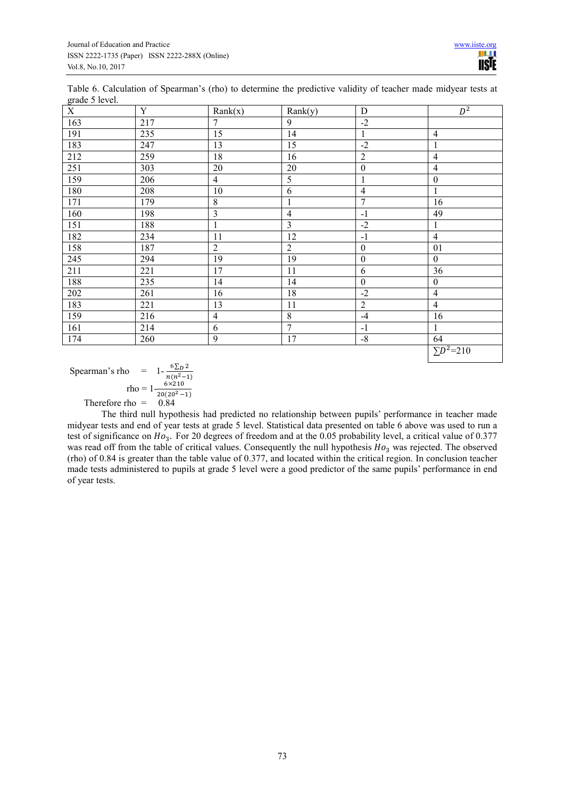| Table 6. Calculation of Spearman's (rho) to determine the predictive validity of teacher made midyear tests at |  |  |  |  |
|----------------------------------------------------------------------------------------------------------------|--|--|--|--|
| grade 5 level.                                                                                                 |  |  |  |  |

| $\overline{X}$ | $\mathbf Y$ | Rank(x)        | Rank(y)        | ${\bf D}$        | $D^2$              |
|----------------|-------------|----------------|----------------|------------------|--------------------|
| 163            | 217         | $\overline{7}$ | 9              | $-2$             |                    |
| 191            | 235         | 15             | 14             | 1                | $\overline{4}$     |
| 183            | 247         | 13             | 15             | $-2$             | 1                  |
| 212            | 259         | 18             | 16             | $\overline{2}$   | $\overline{4}$     |
| 251            | 303         | 20             | 20             | $\boldsymbol{0}$ | $\overline{4}$     |
| 159            | 206         | $\overline{4}$ | 5              | 1                | $\boldsymbol{0}$   |
| 180            | 208         | 10             | 6              | $\overline{4}$   | $\mathbf{1}$       |
| 171            | 179         | $\,$ 8 $\,$    | $\mathbf{1}$   | $\overline{7}$   | 16                 |
| 160            | 198         | $\mathfrak{Z}$ | $\overline{4}$ | $-1$             | 49                 |
| 151            | 188         | $\mathbf{1}$   | $\overline{3}$ | $-2$             | $\mathbf{1}$       |
| 182            | 234         | 11             | 12             | $-1$             | $\overline{4}$     |
| 158            | 187         | $\overline{2}$ | $\overline{2}$ | $\boldsymbol{0}$ | 01                 |
| 245            | 294         | 19             | 19             | $\boldsymbol{0}$ | $\boldsymbol{0}$   |
| 211            | 221         | 17             | 11             | 6                | 36                 |
| 188            | 235         | 14             | 14             | $\boldsymbol{0}$ | $\boldsymbol{0}$   |
| 202            | 261         | 16             | 18             | $-2$             | $\overline{4}$     |
| 183            | 221         | 13             | 11             | $\overline{2}$   | $\overline{4}$     |
| 159            | 216         | $\overline{4}$ | 8              | $-4$             | 16                 |
| 161            | 214         | 6              | $\overline{7}$ | $-1$             | 1                  |
| 174            | 260         | $\mathbf{9}$   | 17             | $-8$             | 64                 |
|                |             |                |                |                  | $\Sigma D^2 = 210$ |

Spearman's rho =  $1 - \frac{6 \sum D^2}{n(n^2-1)}$  $rho = 1 - \frac{6 \times 210}{20(20^2 - 1)}$ 

Therefore rho =  $0.84$ 

The third null hypothesis had predicted no relationship between pupils' performance in teacher made midyear tests and end of year tests at grade 5 level. Statistical data presented on table 6 above was used to run a test of significance on  $Ho_3$ . For 20 degrees of freedom and at the 0.05 probability level, a critical value of 0.377 was read off from the table of critical values. Consequently the null hypothesis  $Ho_3$  was rejected. The observed (rho) of 0.84 is greater than the table value of 0.377, and located within the critical region. In conclusion teacher made tests administered to pupils at grade 5 level were a good predictor of the same pupils' performance in end of year tests.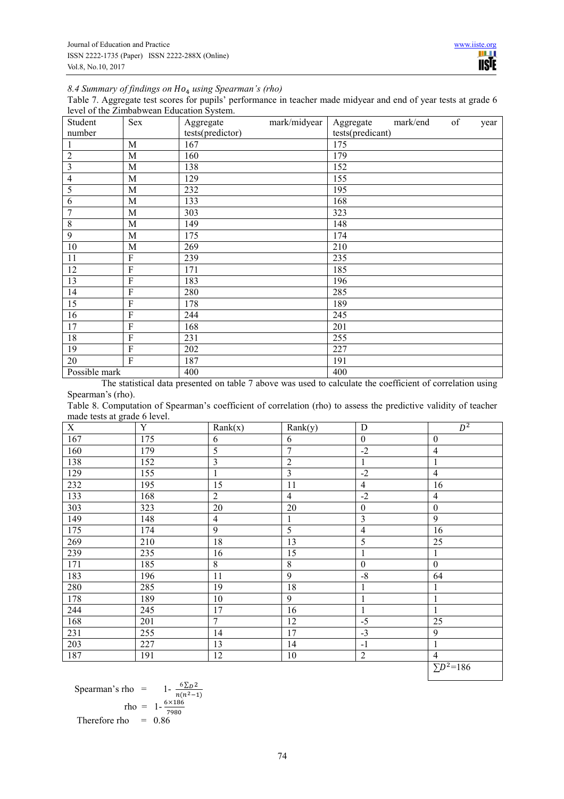8.4 Summary of findings on Ho<sub>4</sub> using Spearman's (rho)

Table 7. Aggregate test scores for pupils' performance in teacher made midyear and end of year tests at grade 6 level of the Zimbabwean Education System.

| Student                 | Sex            | mark/midyear<br>Aggregate | of<br>mark/end<br>Aggregate<br>year |
|-------------------------|----------------|---------------------------|-------------------------------------|
| number                  |                | tests(predictor)          | tests(predicant)                    |
| $\mathbf{1}$            | M              | 167                       | 175                                 |
| $\sqrt{2}$              | M              | 160                       | 179                                 |
| $\overline{\mathbf{3}}$ | M              | 138                       | 152                                 |
| $\overline{4}$          | $\mathbf M$    | 129                       | 155                                 |
| 5                       | M              | 232                       | 195                                 |
| 6                       | M              | 133                       | 168                                 |
| $\overline{7}$          | $\mathbf{M}$   | 303                       | 323                                 |
| $\,8\,$                 | M              | 149                       | 148                                 |
| $\overline{9}$          | M              | 175                       | 174                                 |
| 10                      | M              | 269                       | 210                                 |
| 11                      | $\rm F$        | 239                       | 235                                 |
| 12                      | $\rm F$        | 171                       | 185                                 |
| 13                      | $\overline{F}$ | 183                       | 196                                 |
| 14                      | F              | 280                       | 285                                 |
| 15                      | $\rm F$        | 178                       | 189                                 |
| 16                      | $\rm F$        | 244                       | 245                                 |
| 17                      | $\overline{F}$ | 168                       | 201                                 |
| 18                      | $\rm F$        | 231                       | 255                                 |
| 19                      | $\rm F$        | 202                       | 227                                 |
| 20                      | $\mathbf{F}$   | 187                       | 191                                 |
| Possible mark           |                | 400                       | 400                                 |

The statistical data presented on table 7 above was used to calculate the coefficient of correlation using Spearman's (rho).

Table 8. Computation of Spearman's coefficient of correlation (rho) to assess the predictive validity of teacher made tests at grade 6 level.

| 167<br>175<br>$\boldsymbol{0}$<br>$\boldsymbol{0}$<br>6<br>6<br>$\mathfrak s$<br>$\overline{7}$<br>$-2$<br>160<br>179<br>$\overline{4}$<br>$\overline{\mathbf{3}}$<br>138<br>$\overline{2}$<br>152<br>$\mathbf{1}$<br>1<br>$\mathfrak{Z}$<br>$-2$<br>$\overline{4}$<br>129<br>155<br>1<br>15<br>11<br>232<br>195<br>$\overline{4}$<br>16<br>133<br>$\overline{2}$<br>$-2$<br>168<br>$\overline{4}$<br>4<br>303<br>20<br>$20\,$<br>$\boldsymbol{0}$<br>323<br>$\boldsymbol{0}$<br>$\overline{\mathbf{3}}$<br>$\overline{9}$<br>149<br>$\overline{4}$<br>148<br>$\mathbf{1}$<br>9<br>5<br>175<br>16<br>174<br>4<br>5<br>269<br>18<br>13<br>25<br>210<br>15<br>235<br>239<br>16<br>1<br>1<br>$8\,$<br>8<br>171<br>185<br>$\boldsymbol{0}$<br>$\boldsymbol{0}$<br>9<br>183<br>$-8$<br>64<br>11<br>196<br>18<br>280<br>285<br>19<br>$\mathbf{1}$<br>1<br>9<br>178<br>189<br>10<br>1<br>1 | $\mathbf X$ | $\mathbf Y$ | Rank(x) | $\overline{Rank}(y)$ | $\mathbf D$  | $\overline{D^2}$ |
|-------------------------------------------------------------------------------------------------------------------------------------------------------------------------------------------------------------------------------------------------------------------------------------------------------------------------------------------------------------------------------------------------------------------------------------------------------------------------------------------------------------------------------------------------------------------------------------------------------------------------------------------------------------------------------------------------------------------------------------------------------------------------------------------------------------------------------------------------------------------------------------|-------------|-------------|---------|----------------------|--------------|------------------|
|                                                                                                                                                                                                                                                                                                                                                                                                                                                                                                                                                                                                                                                                                                                                                                                                                                                                                     |             |             |         |                      |              |                  |
|                                                                                                                                                                                                                                                                                                                                                                                                                                                                                                                                                                                                                                                                                                                                                                                                                                                                                     |             |             |         |                      |              |                  |
|                                                                                                                                                                                                                                                                                                                                                                                                                                                                                                                                                                                                                                                                                                                                                                                                                                                                                     |             |             |         |                      |              |                  |
|                                                                                                                                                                                                                                                                                                                                                                                                                                                                                                                                                                                                                                                                                                                                                                                                                                                                                     |             |             |         |                      |              |                  |
|                                                                                                                                                                                                                                                                                                                                                                                                                                                                                                                                                                                                                                                                                                                                                                                                                                                                                     |             |             |         |                      |              |                  |
|                                                                                                                                                                                                                                                                                                                                                                                                                                                                                                                                                                                                                                                                                                                                                                                                                                                                                     |             |             |         |                      |              |                  |
|                                                                                                                                                                                                                                                                                                                                                                                                                                                                                                                                                                                                                                                                                                                                                                                                                                                                                     |             |             |         |                      |              |                  |
|                                                                                                                                                                                                                                                                                                                                                                                                                                                                                                                                                                                                                                                                                                                                                                                                                                                                                     |             |             |         |                      |              |                  |
|                                                                                                                                                                                                                                                                                                                                                                                                                                                                                                                                                                                                                                                                                                                                                                                                                                                                                     |             |             |         |                      |              |                  |
|                                                                                                                                                                                                                                                                                                                                                                                                                                                                                                                                                                                                                                                                                                                                                                                                                                                                                     |             |             |         |                      |              |                  |
|                                                                                                                                                                                                                                                                                                                                                                                                                                                                                                                                                                                                                                                                                                                                                                                                                                                                                     |             |             |         |                      |              |                  |
|                                                                                                                                                                                                                                                                                                                                                                                                                                                                                                                                                                                                                                                                                                                                                                                                                                                                                     |             |             |         |                      |              |                  |
|                                                                                                                                                                                                                                                                                                                                                                                                                                                                                                                                                                                                                                                                                                                                                                                                                                                                                     |             |             |         |                      |              |                  |
|                                                                                                                                                                                                                                                                                                                                                                                                                                                                                                                                                                                                                                                                                                                                                                                                                                                                                     |             |             |         |                      |              |                  |
|                                                                                                                                                                                                                                                                                                                                                                                                                                                                                                                                                                                                                                                                                                                                                                                                                                                                                     |             |             |         |                      |              |                  |
|                                                                                                                                                                                                                                                                                                                                                                                                                                                                                                                                                                                                                                                                                                                                                                                                                                                                                     | 244         | 245         | 17      | 16                   | $\mathbf{1}$ | $\mathbf{1}$     |
| $\overline{7}$<br>168<br>12<br>$-5$<br>25<br>201                                                                                                                                                                                                                                                                                                                                                                                                                                                                                                                                                                                                                                                                                                                                                                                                                                    |             |             |         |                      |              |                  |
| 255<br>17<br>$-3$<br>9<br>231<br>14                                                                                                                                                                                                                                                                                                                                                                                                                                                                                                                                                                                                                                                                                                                                                                                                                                                 |             |             |         |                      |              |                  |
| 203<br>227<br>13<br>14<br>$-1$<br>1                                                                                                                                                                                                                                                                                                                                                                                                                                                                                                                                                                                                                                                                                                                                                                                                                                                 |             |             |         |                      |              |                  |
| $\sqrt{2}$<br>187<br>12<br>10<br>$\overline{4}$<br>191                                                                                                                                                                                                                                                                                                                                                                                                                                                                                                                                                                                                                                                                                                                                                                                                                              |             |             |         |                      |              |                  |
| $\overline{\sum}D^2=186$                                                                                                                                                                                                                                                                                                                                                                                                                                                                                                                                                                                                                                                                                                                                                                                                                                                            |             |             |         |                      |              |                  |

Spearman's rho = 
$$
1 - \frac{6\Sigma D^2}{n(n^2 - 1)}
$$
  
rho = 
$$
1 - \frac{6\times186}{7980}
$$
  
Therefore rho = 0.86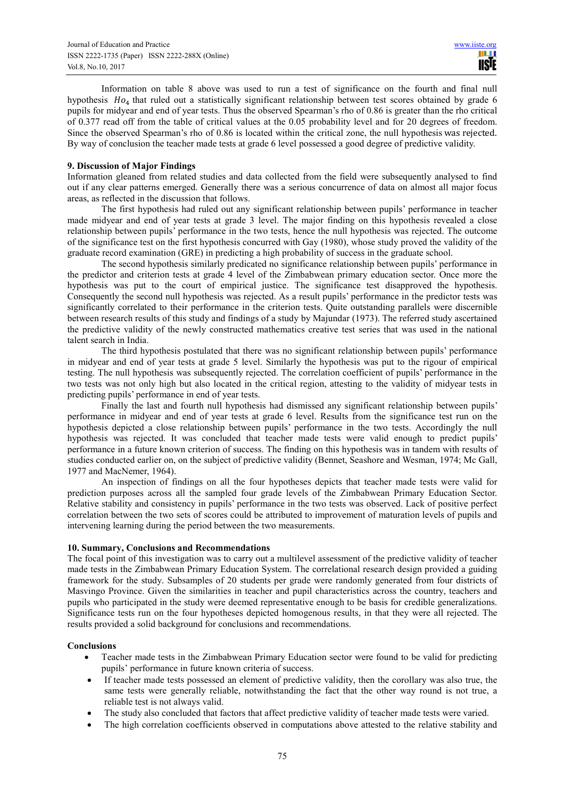Information on table 8 above was used to run a test of significance on the fourth and final null hypothesis Ho<sub>4</sub> that ruled out a statistically significant relationship between test scores obtained by grade 6 pupils for midyear and end of year tests. Thus the observed Spearman's rho of 0.86 is greater than the rho critical of 0.377 read off from the table of critical values at the 0.05 probability level and for 20 degrees of freedom. Since the observed Spearman's rho of 0.86 is located within the critical zone, the null hypothesis was rejected. By way of conclusion the teacher made tests at grade 6 level possessed a good degree of predictive validity.

#### **9. Discussion of Major Findings**

Information gleaned from related studies and data collected from the field were subsequently analysed to find out if any clear patterns emerged. Generally there was a serious concurrence of data on almost all major focus areas, as reflected in the discussion that follows.

The first hypothesis had ruled out any significant relationship between pupils' performance in teacher made midyear and end of year tests at grade 3 level. The major finding on this hypothesis revealed a close relationship between pupils' performance in the two tests, hence the null hypothesis was rejected. The outcome of the significance test on the first hypothesis concurred with Gay (1980), whose study proved the validity of the graduate record examination (GRE) in predicting a high probability of success in the graduate school.

The second hypothesis similarly predicated no significance relationship between pupils' performance in the predictor and criterion tests at grade 4 level of the Zimbabwean primary education sector. Once more the hypothesis was put to the court of empirical justice. The significance test disapproved the hypothesis. Consequently the second null hypothesis was rejected. As a result pupils' performance in the predictor tests was significantly correlated to their performance in the criterion tests. Quite outstanding parallels were discernible between research results of this study and findings of a study by Majundar (1973). The referred study ascertained the predictive validity of the newly constructed mathematics creative test series that was used in the national talent search in India.

The third hypothesis postulated that there was no significant relationship between pupils' performance in midyear and end of year tests at grade 5 level. Similarly the hypothesis was put to the rigour of empirical testing. The null hypothesis was subsequently rejected. The correlation coefficient of pupils' performance in the two tests was not only high but also located in the critical region, attesting to the validity of midyear tests in predicting pupils' performance in end of year tests.

Finally the last and fourth null hypothesis had dismissed any significant relationship between pupils' performance in midyear and end of year tests at grade 6 level. Results from the significance test run on the hypothesis depicted a close relationship between pupils' performance in the two tests. Accordingly the null hypothesis was rejected. It was concluded that teacher made tests were valid enough to predict pupils' performance in a future known criterion of success. The finding on this hypothesis was in tandem with results of studies conducted earlier on, on the subject of predictive validity (Bennet, Seashore and Wesman, 1974; Mc Gall, 1977 and MacNemer, 1964).

An inspection of findings on all the four hypotheses depicts that teacher made tests were valid for prediction purposes across all the sampled four grade levels of the Zimbabwean Primary Education Sector. Relative stability and consistency in pupils' performance in the two tests was observed. Lack of positive perfect correlation between the two sets of scores could be attributed to improvement of maturation levels of pupils and intervening learning during the period between the two measurements.

#### **10. Summary, Conclusions and Recommendations**

The focal point of this investigation was to carry out a multilevel assessment of the predictive validity of teacher made tests in the Zimbabwean Primary Education System. The correlational research design provided a guiding framework for the study. Subsamples of 20 students per grade were randomly generated from four districts of Masvingo Province. Given the similarities in teacher and pupil characteristics across the country, teachers and pupils who participated in the study were deemed representative enough to be basis for credible generalizations. Significance tests run on the four hypotheses depicted homogenous results, in that they were all rejected. The results provided a solid background for conclusions and recommendations.

# **Conclusions**

- Teacher made tests in the Zimbabwean Primary Education sector were found to be valid for predicting pupils' performance in future known criteria of success.
- If teacher made tests possessed an element of predictive validity, then the corollary was also true, the same tests were generally reliable, notwithstanding the fact that the other way round is not true, a reliable test is not always valid.
- The study also concluded that factors that affect predictive validity of teacher made tests were varied.
- The high correlation coefficients observed in computations above attested to the relative stability and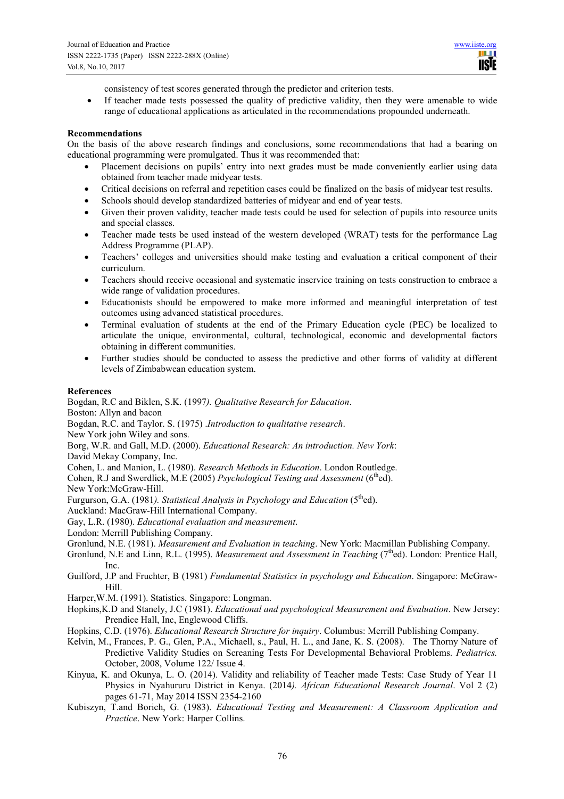ш **USIE** 

consistency of test scores generated through the predictor and criterion tests.

• If teacher made tests possessed the quality of predictive validity, then they were amenable to wide range of educational applications as articulated in the recommendations propounded underneath.

#### **Recommendations**

On the basis of the above research findings and conclusions, some recommendations that had a bearing on educational programming were promulgated. Thus it was recommended that:

- Placement decisions on pupils' entry into next grades must be made conveniently earlier using data obtained from teacher made midyear tests.
- Critical decisions on referral and repetition cases could be finalized on the basis of midyear test results.
- Schools should develop standardized batteries of midyear and end of year tests.
- Given their proven validity, teacher made tests could be used for selection of pupils into resource units and special classes.
- Teacher made tests be used instead of the western developed (WRAT) tests for the performance Lag Address Programme (PLAP).
- Teachers' colleges and universities should make testing and evaluation a critical component of their curriculum.
- Teachers should receive occasional and systematic inservice training on tests construction to embrace a wide range of validation procedures.
- Educationists should be empowered to make more informed and meaningful interpretation of test outcomes using advanced statistical procedures.
- Terminal evaluation of students at the end of the Primary Education cycle (PEC) be localized to articulate the unique, environmental, cultural, technological, economic and developmental factors obtaining in different communities.
- Further studies should be conducted to assess the predictive and other forms of validity at different levels of Zimbabwean education system.

#### **References**

Bogdan, R.C and Biklen, S.K. (1997*). Qualitative Research for Education*. Boston: Allyn and bacon Bogdan, R.C. and Taylor. S. (1975) .*Introduction to qualitative research*. New York john Wiley and sons. Borg, W.R. and Gall, M.D. (2000). *Educational Research: An introduction. New York*: David Mekay Company, Inc. Cohen, L. and Manion, L. (1980). *Research Methods in Education*. London Routledge. Cohen, R.J and Swerdlick, M.E (2005) *Psychological Testing and Assessment* (6<sup>th</sup>ed). New York:McGraw-Hill. Furgurson, G.A. (1981*). Statistical Analysis in Psychology and Education* (5<sup>th</sup>ed). Auckland: MacGraw-Hill International Company. Gay, L.R. (1980). *Educational evaluation and measurement*. London: Merrill Publishing Company. Gronlund, N.E. (1981). *Measurement and Evaluation in teaching*. New York: Macmillan Publishing Company. Gronlund, N.E and Linn, R.L. (1995). *Measurement and Assessment in Teaching* (7<sup>th</sup>ed). London: Prentice Hall, Inc. Guilford, J.P and Fruchter, B (1981) *Fundamental Statistics in psychology and Education*. Singapore: McGraw-Hill. Harper,W.M. (1991). Statistics. Singapore: Longman. Hopkins,K.D and Stanely, J.C (1981). *Educational and psychological Measurement and Evaluation*. New Jersey: Prendice Hall, Inc, Englewood Cliffs. Hopkins, C.D. (1976). *Educational Research Structure for inquiry*. Columbus: Merrill Publishing Company.

- Kelvin, M., Frances, P. G., Glen, P.A., Michaell, s., Paul, H. L., and Jane, K. S. (2008). The Thorny Nature of Predictive Validity Studies on Screaning Tests For Developmental Behavioral Problems. *Pediatrics.* October, 2008, Volume 122/ Issue 4.
- Kinyua, K. and Okunya, L. O. (2014). Validity and reliability of Teacher made Tests: Case Study of Year 11 Physics in Nyahururu District in Kenya. (2014*). African Educational Research Journal*. Vol 2 (2) pages 61-71, May 2014 ISSN 2354-2160
- Kubiszyn, T.and Borich, G. (1983). *Educational Testing and Measurement: A Classroom Application and Practice*. New York: Harper Collins.